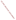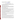# **Consumer Factsheet on: CHROMIUM**

[List of Contaminants](http://www.epa.gov/safewater/hfacts.html) 

 As part of the Drinking Water and Health pages, this fact sheet is part of a larger publication: **National Primary Drinking Water Regulations** 

 States Environmental Protection Agency (EPA). This is a factsheet about a chemical that may be found in some public or private drinking water supplies. It may cause health problems if found in amounts greater than the health standard set by the United

#### **What is Chromium and how is it used?**

Chromium is a metal found in natural deposits as ores containing other elements. The greatest use of chromium is in metal alloys such as stainless steel; protective coatings on metal; magnetic tapes; and pigments for paints, cement, paper, rubber, composition floor covering and other materials. Its soluble forms are used in wood preservatives.

# **Why is Chromium being regulated?**

 based solely on possible health risks and exposure, are called Maximum Contaminant Level Goals. In 1974, Congress passed the Safe Drinking Water Act. This law requires EPA to determine safe levels of chemicals in drinking water which do or may cause health problems. These non-enforceable levels,

 protection would not cause any of the potential health problems described below. The MCLG for chromium has been set at 0.1 parts per million (ppm) because EPA believes this level of

 Based on this MCLG, EPA has set an enforceable standard called a Maximum Contaminant Level (MCL). MCLs are set as close to the MCLGs as possible, considering the ability of public water systems to detect and remove contaminants using suitable treatment technologies.

 should it occur in drinking water. The MCL has also been set at 0.1 ppm because EPA believes, given present technology and resources, this is the lowest level to which water systems can reasonably be required to remove this contaminant

These drinking water standards and the regulations for ensuring these standards are met, are called National Primary Drinking Water Regulations. All public water supplies must abide by these regulations.

## **What are the health effects?**

Short-term: EPA has found chromium to potentially cause the following health effects when people are exposed to it at levels above the MCL for relatively short periods of time: skin irritation or ulceration.

 Long-term: Chromium has the potential to cause the following effects from a lifetime exposure at levels above the MCL: damage to liver, kidney circulatory and nerve tissues; skin irritation.

# **How much Chromium is produced and released to the Environment?**

 of 250,000 tons in 1992. Though chromium occurs in nature mostly as chrome iron ore and is widely Production of the most water soluble forms of chromium, the chromate and dichromates, was in the range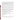found in soils and plants, it is rare in natural waters. The two largest sources of chromium emission in the atmosphere are from the chemical manufacturing industry and combustion of natural gas, oil, and coal.

 and water totaled nearly 200 million pounds. These releases were primarily from industrial organic From 1987 to 1993, according to the Toxics Release Inventory, chromium compound releases to land chemical industries. The largest releases occurred in Texas and North Carolina. The largest direct releases to water occurred in Georgia and Pennsylvania.

## **What happens to Chromium when it is released to the environment?**

 When released to land, chromium compounds bind to soil are not likely to migrate to ground water. They are very persistent in water as sediments. There is a high potential for accumulation of chromium in aquatic life.

#### **How will Chromium be detected in and removed from my drinking water?**

 The regulation for chromium became effective in 1992. Between 1993 and 1995, EPA required your water supplier to collect water samples once and analyze them to find out if chromium is present above 0.1 ppm. If it is present above this level, the system must continue to monitor this contaminant every 3 months.

 reduce the amount of chromium so that it is consistently below that level. The following treatment If contaminant levels are found to be consistently above the MCL, your water supplier must take steps to methods have been approved by EPA for removing chromium: Coagulation/Filtration, Ion Exchange, Reverse Osmosis, Lime Softening.

# **How will I know if Chromium is in my drinking water?**

If the levels of chromium exceed the MCL, the system must notify the public via newspapers, radio, TV and other means. Additional actions, such as providing alternative drinking water supplies, may be required to prevent serious risks to public health.

This is a factsheet about a chemical that may be found in some public or

 private drinking water supplies. It may cause health problems if found in amounts greater than the health standard set by the United States Environmental Protection Agency (EPA).

## **Drinking Water Standards:**

MCLG: 0.1 ppm

MCL: 0.1 ppm

#### **Chromium Releases to Water and Land, 1987 to 1993 (in pounds):**

|               | Water     | Land        |
|---------------|-----------|-------------|
| <b>TOTALS</b> | 2,876,055 | 196,880,624 |